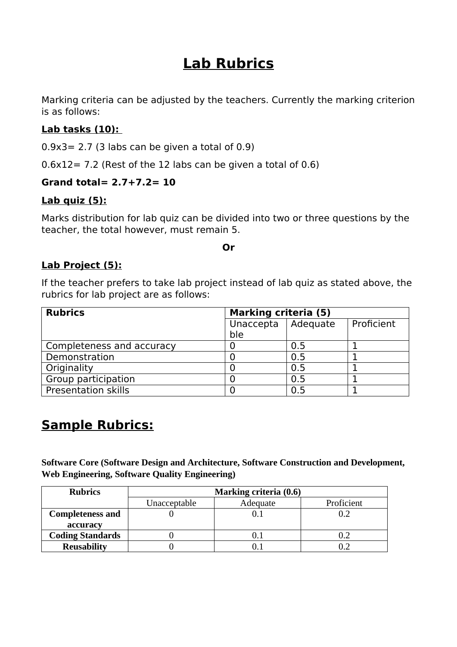# **Lab Rubrics**

Marking criteria can be adjusted by the teachers. Currently the marking criterion is as follows:

## **Lab tasks (10):**

 $0.9x3 = 2.7$  (3 labs can be given a total of 0.9)

 $0.6x12 = 7.2$  (Rest of the 12 labs can be given a total of 0.6)

#### **Grand total= 2.7+7.2= 10**

#### **Lab quiz (5):**

Marks distribution for lab quiz can be divided into two or three questions by the teacher, the total however, must remain 5.

**Or**

### **Lab Project (5):**

If the teacher prefers to take lab project instead of lab quiz as stated above, the rubrics for lab project are as follows:

| <b>Rubrics</b>             | <b>Marking criteria (5)</b> |          |            |
|----------------------------|-----------------------------|----------|------------|
|                            | Unaccepta                   | Adequate | Proficient |
|                            | ble                         |          |            |
| Completeness and accuracy  |                             | 0.5      |            |
| Demonstration              |                             | 0.5      |            |
| Originality                |                             | 0.5      |            |
| Group participation        |                             | 0.5      |            |
| <b>Presentation skills</b> |                             | 0.5      |            |

# **Sample Rubrics:**

**Software Core (Software Design and Architecture, Software Construction and Development, Web Engineering, Software Quality Engineering)** 

| <b>Rubrics</b>          | Marking criteria (0.6) |          |            |  |
|-------------------------|------------------------|----------|------------|--|
|                         | Unacceptable           | Adequate | Proficient |  |
| <b>Completeness and</b> |                        |          |            |  |
| accuracy                |                        |          |            |  |
| <b>Coding Standards</b> |                        |          |            |  |
| <b>Reusability</b>      |                        |          |            |  |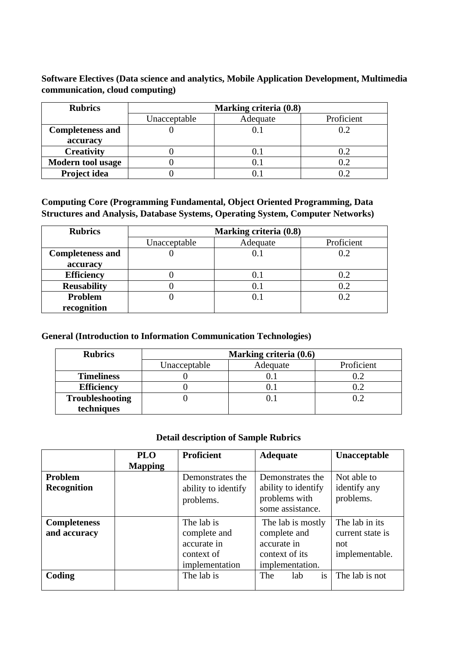**Software Electives (Data science and analytics, Mobile Application Development, Multimedia communication, cloud computing)**

| <b>Rubrics</b>           | Marking criteria (0.8) |          |            |  |
|--------------------------|------------------------|----------|------------|--|
|                          | Unacceptable           | Adequate | Proficient |  |
| <b>Completeness and</b>  |                        | 0.1      |            |  |
| accuracy                 |                        |          |            |  |
| <b>Creativity</b>        |                        | $0.1\,$  |            |  |
| <b>Modern tool usage</b> |                        | U.I      |            |  |
| Project idea             |                        |          |            |  |

**Computing Core (Programming Fundamental, Object Oriented Programming, Data Structures and Analysis, Database Systems, Operating System, Computer Networks)**

| <b>Rubrics</b>          | Marking criteria (0.8) |          |            |  |
|-------------------------|------------------------|----------|------------|--|
|                         | Unacceptable           | Adequate | Proficient |  |
| <b>Completeness and</b> |                        | 0.1      |            |  |
| accuracy                |                        |          |            |  |
| <b>Efficiency</b>       |                        | $0.1\,$  |            |  |
| <b>Reusability</b>      |                        | $0.1\,$  | 0.2        |  |
| Problem                 |                        | 0.1      |            |  |
| recognition             |                        |          |            |  |

#### **General (Introduction to Information Communication Technologies)**

| <b>Rubrics</b>         | Marking criteria (0.6) |          |            |  |
|------------------------|------------------------|----------|------------|--|
|                        | Unacceptable           | Adequate | Proficient |  |
| <b>Timeliness</b>      |                        |          |            |  |
| <b>Efficiency</b>      |                        |          |            |  |
| <b>Troubleshooting</b> |                        |          |            |  |
| techniques             |                        |          |            |  |

#### **Detail description of Sample Rubrics**

|                     | <b>PLO</b>     | <b>Proficient</b>   | <b>Adequate</b>     | <b>Unacceptable</b> |
|---------------------|----------------|---------------------|---------------------|---------------------|
|                     | <b>Mapping</b> |                     |                     |                     |
| Problem             |                | Demonstrates the    | Demonstrates the    | Not able to         |
| <b>Recognition</b>  |                | ability to identify | ability to identify | identify any        |
|                     |                | problems.           | problems with       | problems.           |
|                     |                |                     | some assistance.    |                     |
| <b>Completeness</b> |                | The lab is          | The lab is mostly   | The lab in its      |
| and accuracy        |                | complete and        | complete and        | current state is    |
|                     |                | accurate in         | accurate in         | not                 |
|                     |                | context of          | context of its      | implementable.      |
|                     |                | implementation      | implementation.     |                     |
| Coding              |                | The lab is          | is<br>The<br>lab    | The lab is not      |